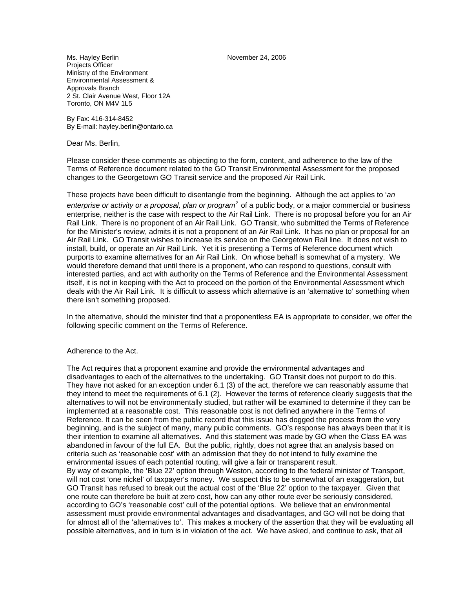Ms. Hayley Berlin November 24, 2006 Projects Officer Ministry of the Environment Environmental Assessment & Approvals Branch 2 St. Clair Avenue West, Floor 12A Toronto, ON M4V 1L5

By Fax: 416-314-8452 By E-mail: hayley.berlin@ontario.ca

Dear Ms. Berlin,

Please consider these comments as objecting to the form, content, and adherence to the law of the Terms of Reference document related to the GO Transit Environmental Assessment for the proposed changes to the Georgetown GO Transit service and the proposed Air Rail Link.

These projects have been difficult to disentangle from the beginning. Although the act applies to '*an enterprise or activity or a proposal, plan or program*' of a public body, or a major commercial or business enterprise, neither is the case with respect to the Air Rail Link. There is no proposal before you for an Air Rail Link. There is no proponent of an Air Rail Link. GO Transit, who submitted the Terms of Reference for the Minister's review, admits it is not a proponent of an Air Rail Link. It has no plan or proposal for an Air Rail Link. GO Transit wishes to increase its service on the Georgetown Rail line. It does not wish to install, build, or operate an Air Rail Link. Yet it is presenting a Terms of Reference document which purports to examine alternatives for an Air Rail Link. On whose behalf is somewhat of a mystery. We would therefore demand that until there is a proponent, who can respond to questions, consult with interested parties, and act with authority on the Terms of Reference and the Environmental Assessment itself, it is not in keeping with the Act to proceed on the portion of the Environmental Assessment which deals with the Air Rail Link. It is difficult to assess which alternative is an 'alternative to' something when there isn't something proposed.

In the alternative, should the minister find that a proponentless EA is appropriate to consider, we offer the following specific comment on the Terms of Reference.

#### Adherence to the Act.

The Act requires that a proponent examine and provide the environmental advantages and disadvantages to each of the alternatives to the undertaking. GO Transit does not purport to do this. They have not asked for an exception under 6.1 (3) of the act, therefore we can reasonably assume that they intend to meet the requirements of 6.1 (2). However the terms of reference clearly suggests that the alternatives to will not be environmentally studied, but rather will be examined to determine if they can be implemented at a reasonable cost. This reasonable cost is not defined anywhere in the Terms of Reference. It can be seen from the public record that this issue has dogged the process from the very beginning, and is the subject of many, many public comments. GO's response has always been that it is their intention to examine all alternatives. And this statement was made by GO when the Class EA was abandoned in favour of the full EA. But the public, rightly, does not agree that an analysis based on criteria such as 'reasonable cost' with an admission that they do not intend to fully examine the environmental issues of each potential routing, will give a fair or transparent result. By way of example, the 'Blue 22' option through Weston, according to the federal minister of Transport, will not cost 'one nickel' of taxpayer's money. We suspect this to be somewhat of an exaggeration, but GO Transit has refused to break out the actual cost of the 'Blue 22' option to the taxpayer. Given that one route can therefore be built at zero cost, how can any other route ever be seriously considered, according to GO's 'reasonable cost' cull of the potential options. We believe that an environmental assessment must provide environmental advantages and disadvantages, and GO will not be doing that for almost all of the 'alternatives to'. This makes a mockery of the assertion that they will be evaluating all possible alternatives, and in turn is in violation of the act. We have asked, and continue to ask, that all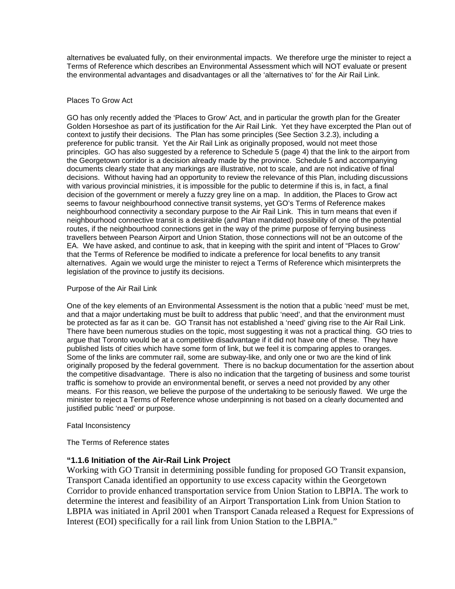alternatives be evaluated fully, on their environmental impacts. We therefore urge the minister to reject a Terms of Reference which describes an Environmental Assessment which will NOT evaluate or present the environmental advantages and disadvantages or all the 'alternatives to' for the Air Rail Link.

## Places To Grow Act

GO has only recently added the 'Places to Grow' Act, and in particular the growth plan for the Greater Golden Horseshoe as part of its justification for the Air Rail Link. Yet they have excerpted the Plan out of context to justify their decisions. The Plan has some principles (See Section 3.2.3), including a preference for public transit. Yet the Air Rail Link as originally proposed, would not meet those principles. GO has also suggested by a reference to Schedule 5 (page 4) that the link to the airport from the Georgetown corridor is a decision already made by the province. Schedule 5 and accompanying documents clearly state that any markings are illustrative, not to scale, and are not indicative of final decisions. Without having had an opportunity to review the relevance of this Plan, including discussions with various provincial ministries, it is impossible for the public to determine if this is, in fact, a final decision of the government or merely a fuzzy grey line on a map. In addition, the Places to Grow act seems to favour neighbourhood connective transit systems, yet GO's Terms of Reference makes neighbourhood connectivity a secondary purpose to the Air Rail Link. This in turn means that even if neighbourhood connective transit is a desirable (and Plan mandated) possibility of one of the potential routes, if the neighbourhood connections get in the way of the prime purpose of ferrying business travellers between Pearson Airport and Union Station, those connections will not be an outcome of the EA. We have asked, and continue to ask, that in keeping with the spirit and intent of "Places to Grow' that the Terms of Reference be modified to indicate a preference for local benefits to any transit alternatives. Again we would urge the minister to reject a Terms of Reference which misinterprets the legislation of the province to justify its decisions.

## Purpose of the Air Rail Link

One of the key elements of an Environmental Assessment is the notion that a public 'need' must be met, and that a major undertaking must be built to address that public 'need', and that the environment must be protected as far as it can be. GO Transit has not established a 'need' giving rise to the Air Rail Link. There have been numerous studies on the topic, most suggesting it was not a practical thing. GO tries to argue that Toronto would be at a competitive disadvantage if it did not have one of these. They have published lists of cities which have some form of link, but we feel it is comparing apples to oranges. Some of the links are commuter rail, some are subway-like, and only one or two are the kind of link originally proposed by the federal government. There is no backup documentation for the assertion about the competitive disadvantage. There is also no indication that the targeting of business and some tourist traffic is somehow to provide an environmental benefit, or serves a need not provided by any other means. For this reason, we believe the purpose of the undertaking to be seriously flawed. We urge the minister to reject a Terms of Reference whose underpinning is not based on a clearly documented and justified public 'need' or purpose.

# Fatal Inconsistency

The Terms of Reference states

# **"1.1.6 Initiation of the Air-Rail Link Project**

Working with GO Transit in determining possible funding for proposed GO Transit expansion, Transport Canada identified an opportunity to use excess capacity within the Georgetown Corridor to provide enhanced transportation service from Union Station to LBPIA. The work to determine the interest and feasibility of an Airport Transportation Link from Union Station to LBPIA was initiated in April 2001 when Transport Canada released a Request for Expressions of Interest (EOI) specifically for a rail link from Union Station to the LBPIA."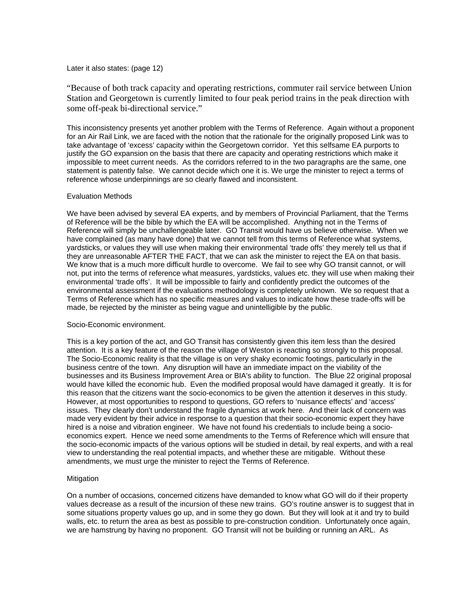## Later it also states: (page 12)

"Because of both track capacity and operating restrictions, commuter rail service between Union Station and Georgetown is currently limited to four peak period trains in the peak direction with some off-peak bi-directional service."

This inconsistency presents yet another problem with the Terms of Reference. Again without a proponent for an Air Rail Link, we are faced with the notion that the rationale for the originally proposed Link was to take advantage of 'excess' capacity within the Georgetown corridor. Yet this selfsame EA purports to justify the GO expansion on the basis that there are capacity and operating restrictions which make it impossible to meet current needs. As the corridors referred to in the two paragraphs are the same, one statement is patently false. We cannot decide which one it is. We urge the minister to reject a terms of reference whose underpinnings are so clearly flawed and inconsistent.

#### Evaluation Methods

We have been advised by several EA experts, and by members of Provincial Parliament, that the Terms of Reference will be the bible by which the EA will be accomplished. Anything not in the Terms of Reference will simply be unchallengeable later. GO Transit would have us believe otherwise. When we have complained (as many have done) that we cannot tell from this terms of Reference what systems, yardsticks, or values they will use when making their environmental 'trade offs' they merely tell us that if they are unreasonable AFTER THE FACT, that we can ask the minister to reject the EA on that basis. We know that is a much more difficult hurdle to overcome. We fail to see why GO transit cannot, or will not, put into the terms of reference what measures, yardsticks, values etc. they will use when making their environmental 'trade offs'. It will be impossible to fairly and confidently predict the outcomes of the environmental assessment if the evaluations methodology is completely unknown. We so request that a Terms of Reference which has no specific measures and values to indicate how these trade-offs will be made, be rejected by the minister as being vague and unintelligible by the public.

#### Socio-Economic environment.

This is a key portion of the act, and GO Transit has consistently given this item less than the desired attention. It is a key feature of the reason the village of Weston is reacting so strongly to this proposal. The Socio-Economic reality is that the village is on very shaky economic footings, particularly in the business centre of the town. Any disruption will have an immediate impact on the viability of the businesses and its Business Improvement Area or BIA's ability to function. The Blue 22 original proposal would have killed the economic hub. Even the modified proposal would have damaged it greatly. It is for this reason that the citizens want the socio-economics to be given the attention it deserves in this study. However, at most opportunities to respond to questions, GO refers to 'nuisance effects' and 'access' issues. They clearly don't understand the fragile dynamics at work here. And their lack of concern was made very evident by their advice in response to a question that their socio-economic expert they have hired is a noise and vibration engineer. We have not found his credentials to include being a socioeconomics expert. Hence we need some amendments to the Terms of Reference which will ensure that the socio-economic impacts of the various options will be studied in detail, by real experts, and with a real view to understanding the real potential impacts, and whether these are mitigable. Without these amendments, we must urge the minister to reject the Terms of Reference.

## Mitigation

On a number of occasions, concerned citizens have demanded to know what GO will do if their property values decrease as a result of the incursion of these new trains. GO's routine answer is to suggest that in some situations property values go up, and in some they go down. But they will look at it and try to build walls, etc. to return the area as best as possible to pre-construction condition. Unfortunately once again, we are hamstrung by having no proponent. GO Transit will not be building or running an ARL. As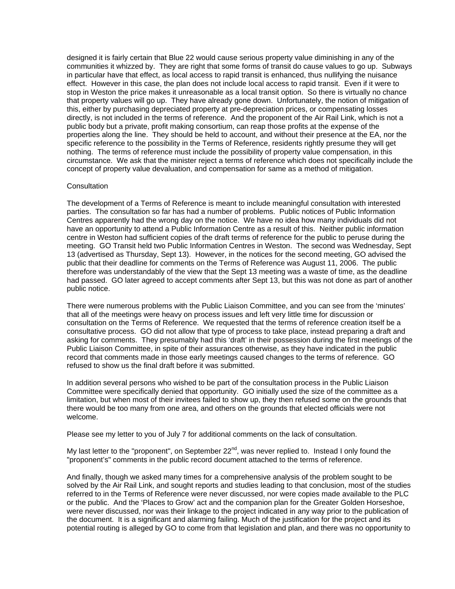designed it is fairly certain that Blue 22 would cause serious property value diminishing in any of the communities it whizzed by. They are right that some forms of transit do cause values to go up. Subways in particular have that effect, as local access to rapid transit is enhanced, thus nullifying the nuisance effect. However in this case, the plan does not include local access to rapid transit. Even if it were to stop in Weston the price makes it unreasonable as a local transit option. So there is virtually no chance that property values will go up. They have already gone down. Unfortunately, the notion of mitigation of this, either by purchasing depreciated property at pre-depreciation prices, or compensating losses directly, is not included in the terms of reference. And the proponent of the Air Rail Link, which is not a public body but a private, profit making consortium, can reap those profits at the expense of the properties along the line. They should be held to account, and without their presence at the EA, nor the specific reference to the possibility in the Terms of Reference, residents rightly presume they will get nothing. The terms of reference must include the possibility of property value compensation, in this circumstance. We ask that the minister reject a terms of reference which does not specifically include the concept of property value devaluation, and compensation for same as a method of mitigation.

#### **Consultation**

The development of a Terms of Reference is meant to include meaningful consultation with interested parties. The consultation so far has had a number of problems. Public notices of Public Information Centres apparently had the wrong day on the notice. We have no idea how many individuals did not have an opportunity to attend a Public Information Centre as a result of this. Neither public information centre in Weston had sufficient copies of the draft terms of reference for the public to peruse during the meeting. GO Transit held two Public Information Centres in Weston. The second was Wednesday, Sept 13 (advertised as Thursday, Sept 13). However, in the notices for the second meeting, GO advised the public that their deadline for comments on the Terms of Reference was August 11, 2006. The public therefore was understandably of the view that the Sept 13 meeting was a waste of time, as the deadline had passed. GO later agreed to accept comments after Sept 13, but this was not done as part of another public notice.

There were numerous problems with the Public Liaison Committee, and you can see from the 'minutes' that all of the meetings were heavy on process issues and left very little time for discussion or consultation on the Terms of Reference. We requested that the terms of reference creation itself be a consultative process. GO did not allow that type of process to take place, instead preparing a draft and asking for comments. They presumably had this 'draft' in their possession during the first meetings of the Public Liaison Committee, in spite of their assurances otherwise, as they have indicated in the public record that comments made in those early meetings caused changes to the terms of reference. GO refused to show us the final draft before it was submitted.

In addition several persons who wished to be part of the consultation process in the Public Liaison Committee were specifically denied that opportunity. GO initially used the size of the committee as a limitation, but when most of their invitees failed to show up, they then refused some on the grounds that there would be too many from one area, and others on the grounds that elected officials were not welcome.

Please see my letter to you of July 7 for additional comments on the lack of consultation.

My last letter to the "proponent", on September 22<sup>nd</sup>, was never replied to. Instead I only found the "proponent's" comments in the public record document attached to the terms of reference.

And finally, though we asked many times for a comprehensive analysis of the problem sought to be solved by the Air Rail Link, and sought reports and studies leading to that conclusion, most of the studies referred to in the Terms of Reference were never discussed, nor were copies made available to the PLC or the public. And the 'Places to Grow' act and the companion plan for the Greater Golden Horseshoe, were never discussed, nor was their linkage to the project indicated in any way prior to the publication of the document. It is a significant and alarming failing. Much of the justification for the project and its potential routing is alleged by GO to come from that legislation and plan, and there was no opportunity to